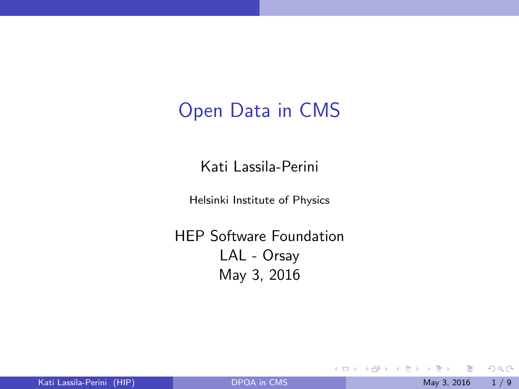## <span id="page-0-0"></span>Open Data in CMS

Kati Lassila-Perini

Helsinki Institute of Physics

HEP Software Foundation LAL - Orsay May 3, 2016

 $\leftarrow$   $\Box$   $\rightarrow$ 

- ∢ r¶  $\rightarrow$  医单位 医单位

 $299$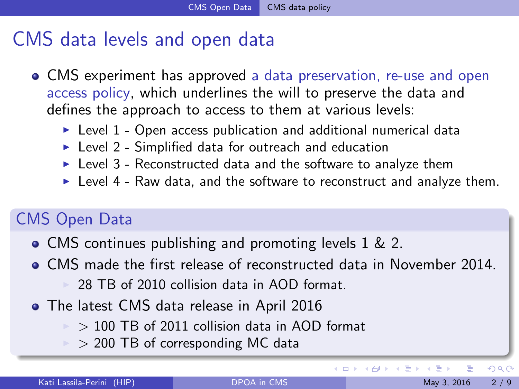## <span id="page-1-0"></span>CMS data levels and open data

- CMS experiment has approved a data preservation, re-use and open access policy, which underlines the will to preserve the data and defines the approach to access to them at various levels:
	- $\triangleright$  Level 1 Open access publication and additional numerical data
	- $\blacktriangleright$  Level 2 Simplified data for outreach and education
	- $\blacktriangleright$  Level 3 Reconstructed data and the software to analyze them
	- $\blacktriangleright$  Level 4 Raw data, and the software to reconstruct and analyze them.

### CMS Open Data

- CMS continues publishing and promoting levels 1 & 2.
- CMS made the first release of reconstructed data in November 2014. 28 TB of 2010 collision data in AOD format.
- **•** The latest CMS data release in April 2016
	- $>$  100 TB of 2011 collision data in AOD format
	- $\ge$  > 200 TB of corresponding MC data

(□) (母)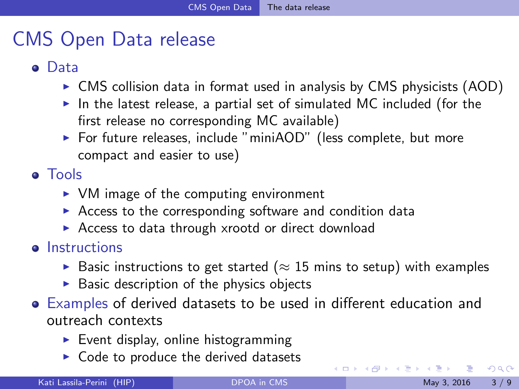# <span id="page-2-0"></span>CMS Open Data release

### **o** Data

- $\triangleright$  CMS collision data in format used in analysis by CMS physicists (AOD)
- $\blacktriangleright$  In the latest release, a partial set of simulated MC included (for the first release no corresponding MC available)
- $\triangleright$  For future releases, include "miniAOD" (less complete, but more compact and easier to use)

Tools

- $\triangleright$  VM image of the computing environment
- $\triangleright$  Access to the corresponding software and condition data
- $\triangleright$  Access to data through xrootd or direct download

#### **•** Instructions

- ► Basic instructions to get started ( $\approx$  15 mins to setup) with examples
- $\triangleright$  Basic description of the physics objects
- Examples of derived datasets to be used in different education and outreach contexts
	- $\blacktriangleright$  Event display, online histogramming
	- $\triangleright$  Code to produce the derived datasets

 $\Omega$ 

イロト イ母 トイヨ トイヨト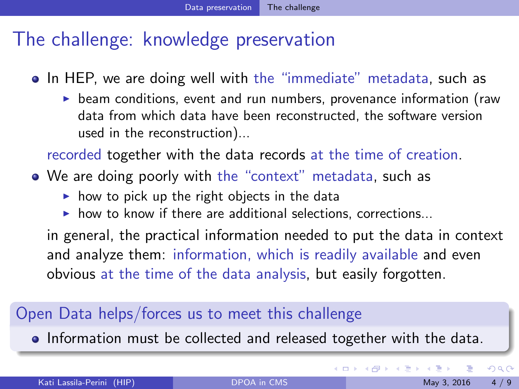# <span id="page-3-0"></span>The challenge: knowledge preservation

- In HEP, we are doing well with the "immediate" metadata, such as
	- $\triangleright$  beam conditions, event and run numbers, provenance information (raw data from which data have been reconstructed, the software version used in the reconstruction)...

recorded together with the data records at the time of creation.

- We are doing poorly with the "context" metadata, such as
	- $\triangleright$  how to pick up the right objects in the data
	- $\triangleright$  how to know if there are additional selections, corrections...

in general, the practical information needed to put the data in context and analyze them: information, which is readily available and even obvious at the time of the data analysis, but easily forgotten.

#### Open Data helps/forces us to meet this challenge

**Information must be collected and released together with the data.** 

イロト イ押 トイヨト イヨ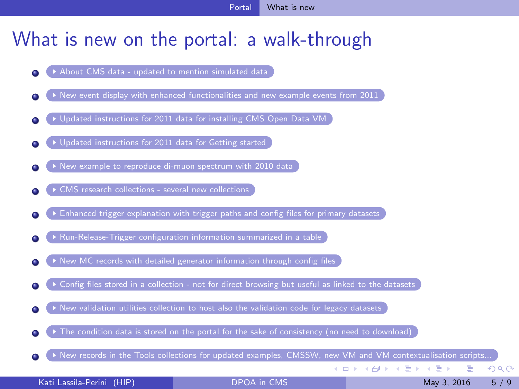### <span id="page-4-0"></span>What is new on the portal: a walk-through

- $\blacktriangleright$  [About CMS data updated to mention simulated data](http://opendata.cern.ch/about/CMS)
- [New event display with enhanced functionalities and new example events from 2011](http://opendata.cern.ch/visualise/events/CMS)
- [Updated instructions for 2011 data for installing CMS Open Data VM](http://opendata.cern.ch/VM/CMS/)
- [Updated instructions for 2011 data for Getting started](http://opendata.cern.ch/getting-started/CMS)
- [New example to reproduce di-muon spectrum with 2010 data](http://opendata.cern.ch/record/560)
- ▶ [CMS research collections several new collections](http://opendata.cern.ch/research/CMS)
- [Enhanced trigger explanation with trigger paths and config files for primary datasets](http://opendata.cern.ch/record/16)
- $\triangleright$  [Run-Release-Trigger configuration information summarized in a table](http://opendata.cern.ch/collection/CMS-Trigger-Information)
- $\triangleright$  [New MC records with detailed generator information through config files](http://opendata.cern.ch/record/1300)
- [Config files stored in a collection not for direct browsing but useful as linked to the datasets](http://opendata.cern.ch/collection/CMS-Configuration-Files)
- [New validation utilities collection to host also the validation code for legacy datasets](http://opendata.cern.ch/collection/CMS-Validation-Utilities)
- $\triangleright$  [The condition data is stored on the portal for the sake of consistency \(no need to download\)](http://opendata.cern.ch/collection/CMS-Condition-Data)
- [New records in the Tools collections for updated examples, CMSSW, new VM and VM contextualisation scripts...](http://opendata.cern.ch/collection/CMS-Tools)

メロメ メ都 メメ きょくきょ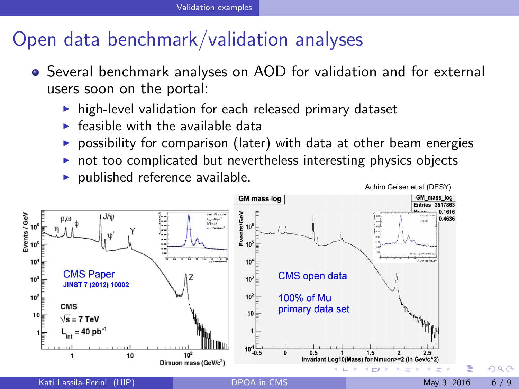# <span id="page-5-0"></span>Open data benchmark/validation analyses

- Several benchmark analyses on AOD for validation and for external users soon on the portal:
	- $\triangleright$  high-level validation for each released primary dataset
	- $\blacktriangleright$  feasible with the available data
	- $\triangleright$  possibility for comparison (later) with data at other beam energies
	- $\triangleright$  not too complicated but nevertheless interesting physics objects
	- $\blacktriangleright$  published reference available.



 $\Omega$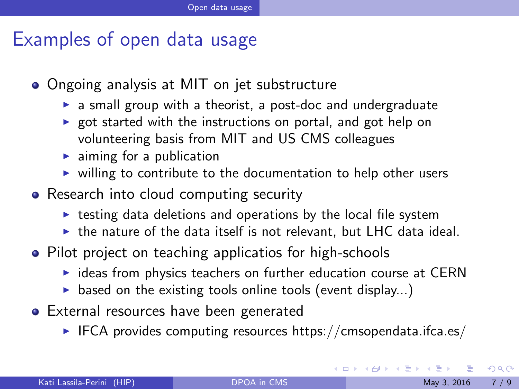### <span id="page-6-0"></span>Examples of open data usage

- Ongoing analysis at MIT on jet substructure
	- $\triangleright$  a small group with a theorist, a post-doc and undergraduate
	- $\triangleright$  got started with the instructions on portal, and got help on volunteering basis from MIT and US CMS colleagues
	- $\blacktriangleright$  aiming for a publication
	- $\triangleright$  willing to contribute to the documentation to help other users
- Research into cloud computing security
	- $\triangleright$  testing data deletions and operations by the local file system
	- $\triangleright$  the nature of the data itself is not relevant, but LHC data ideal.
- Pilot project on teaching applicatios for high-schools
	- $\triangleright$  ideas from physics teachers on further education course at CERN
	- $\triangleright$  based on the existing tools online tools (event display...)
- **•** External resources have been generated
	- $\triangleright$  IFCA provides computing resources https://cmsopendata.ifca.es/

 $\Omega$ 

K ロ ⊁ K 個 ≯ K 君 ⊁ K 君 ≯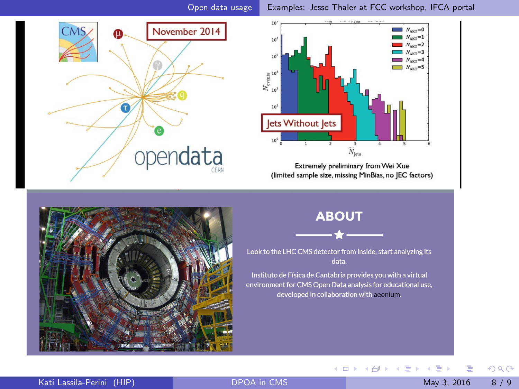<span id="page-7-0"></span>



Extremely preliminary from Wei Xue (limited sample size, missing MinBias, no JEC factors)



#### **ABOUT**



Look to the LHC CMS detector from inside, start analyzing its data.

Instituto de Física de Cantabria provides you with a virtual environment for CMS Open Data analysis for educational use, developed in collaboration with aconium.

イロト イ部 トメ ヨ トメ ヨト